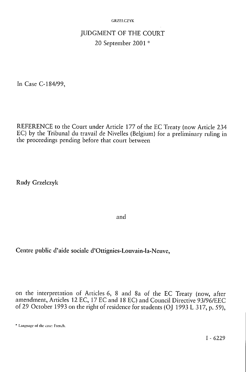# JUDGMENT OF THE COURT 20 September 2001 \*

In Case C-184/99,

REFERENCE to the Court under Article 177 of the EC Treaty (now Article 234 EC) by the Tribunal du travail de Nivelles (Belgium) for a preliminary ruling in the proceedings pending before that court between

Rudy Grzelczyk

and

Centre public d'aide sociale d'Ottignies-Louvain-la-Neuve,

on the interpretation of Articles 6, 8 and 8a of the EC Treaty (now, after amendment, Articles 12 EC, 17 EC and 18 EC) and Council Directive 93/96/EEC of 29 October 1993 on the right of residence for students (OJ 1993 L 317, p. 59),

<sup>\*</sup> Language of the case: French.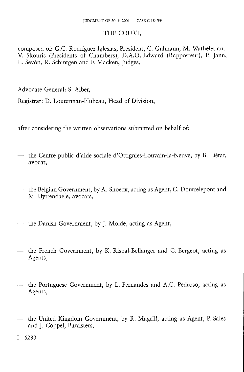### THE COURT,

composed of: G.C. Rodríguez Iglesias, President, C. Gulmann, M. Wathelet and V. Skouris (Presidents of Chambers), D.A.O. Edward (Rapporteur), P. Jann, L. Sevón, R. Schintgen and F. Macken, Judges,

Advocate General: S. Alber,

Registrar: D. Louterman-Hubeau, Head of Division,

after considering the written observations submitted on behalf of:

- the Centre public d'aide sociale d'Ottignies-Louvain-la-Neuve, by B. Liétar, avocat,
- the Belgian Government, by A. Snoecx, acting as Agent, C. Doutrelepont and M. Uyttendaele, avocats,
- the Danish Government, by J. Molde, acting as Agent,
- the French Government, by K. Rispal-Bellanger and C. Bergeot, acting as Agents,
- the Portuguese Government, by L. Fernandes and A.C. Pedroso, acting as Agents,
- the United Kingdom Government, by R. Magrill, acting as Agent, P. Sales and J. Coppel, Barristers,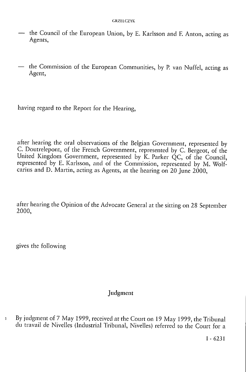- the Council of the European Union, by E. Karlsson and F. Anton, acting as Agents,
- the Commission of the European Communities, by P. van Nuffel, acting as Agent,

having regard to the Report for the Hearing,

after hearing the oral observations of the Belgian Government, represented by C. Doutrelepont, of the French Government, represented by C. Bergeot, of the United Kingdom Government, represented by K. Parker QC, of the Council, represented by E. Karlsson, and of the Commission, represented by M. Wolfcarius and D. Martin, acting as Agents, at the hearing on 20 June 2000,

after hearing the Opinion of the Advocate General at the sitting on 28 September 2000,

gives the following

### Judgment

1 By judgment of 7 May 1999, received at the Court on 19 May 1999, the Tribunal du travail de Nivelles (Industrial Tribunal, Nivelles) referred to the Court for a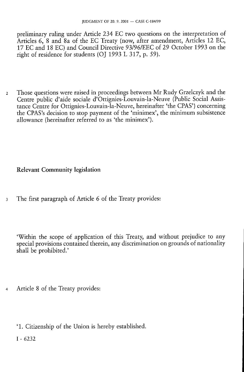preliminary ruling under Article 234 EC two questions on the interpretation of Articles 6, 8 and 8a of the EC Treaty (now, after amendment, Articles 12 EC, 17 EC and 18 EC) and Council Directive 93/96/EEC of 29 October 1993 on the right of residence for students (OJ 1993 L 317, p. 59).

2 Those questions were raised in proceedings between Mr Rudy Grzelczyk and the Centre public d'aide sociale d'Ottignies-Louvain-la-Neuve (Public Social Assistance Centre for Ottignies-Louvain-la-Neuve, hereinafter 'the CPAS') concerning the CPAS's decision to stop payment of the 'minimex', the minimum subsistence allowance (hereinafter referred to as 'the minimex').

# Relevant Community legislation

3 The first paragraph of Article 6 of the Treaty provides:

'Within the scope of application of this Treaty, and without prejudice to any special provisions contained therein, any discrimination on grounds of nationality shall be prohibited.'

- Article 8 of the Treaty provides:
	- '1. Citizenship of the Union is hereby established.
	- I 6232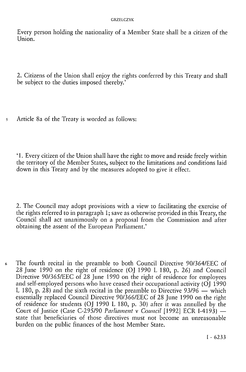Every person holding the nationality of a Member State shall be a citizen of the Union.

2. Citizens of the Union shall enjoy the rights conferred by this Treaty and shall be subject to the duties imposed thereby.'

5 Article 8a of the Treaty is worded as follows:

' 1. Every citizen of the Union shall have the right to move and reside freely within the territory of the Member States, subject to the limitations and conditions laid down in this Treaty and by the measures adopted to give it effect.

2. The Council may adopt provisions with a view to facilitating the exercise of the rights referred to in paragraph 1; save as otherwise provided in this Treaty, the Council shall act unanimously on a proposal from the Commission and after obtaining the assent of the European Parliament.'

6 The fourth recital in the preamble to both Council Directive 90/364/EEC of 28 June 1990 on the right of residence (OJ 1990 L 180, p. 26) and Council Directive 90/365/EEC of 28 June 1990 on the right of residence for employees and self-employed persons who have ceased their occupational activity (OJ 1990 L 180, p. 28) and the sixth recital in the preamble to Directive 93/96 — which essentially replaced Council Directive 90/366/EEC of 28 June 1990 on the right of residence for students (OJ 1990 L 180, p. 30) after it was annulled by the Court of Justice (Case C-295/90 *Parliament* v *Council* [1992] ECR 1-4193) state that beneficiaries of those directives must not become an unreasonable burden on the public finances of the host Member State.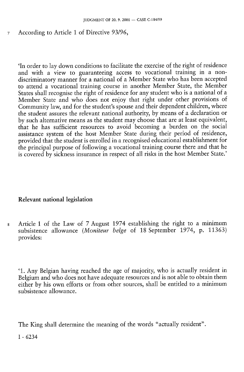### 7 According to Article 1 of Directive 93/96,

'In order to lay down conditions to facilitate the exercise of the right of residence and with a view to guaranteeing access to vocational training in a nondiscriminatory manner for a national of a Member State who has been accepted to attend a vocational training course in another Member State, the Member States shall recognise the right of residence for any student who is a national of a Member State and who does not enjoy that right under other provisions of Community law, and for the student's spouse and their dependent children, where the student assures the relevant national authority, by means of a declaration or by such alternative means as the student may choose that are at least equivalent, that he has sufficient resources to avoid becoming a burden on the social assistance system of the host Member State during their period of residence, provided that the student is enrolled in a recognised educational establishment for the principal purpose of following a vocational training course there and that he is covered by sickness insurance in respect of all risks in the host Member State.'

### Relevant national legislation

8 Article 1 of the Law of 7 August 1974 establishing the right to a minimum subsistence allowance *(Moniteur belge* of 18 September 1974, p. 11363) provides:

' 1 . Any Belgian having reached the age of majority, who is actually resident in Belgium and who does not have adequate resources and is not able to obtain them either by his own efforts or from other sources, shall be entitled to a minimum subsistence allowance.

The King shall determine the meaning of the words "actually resident".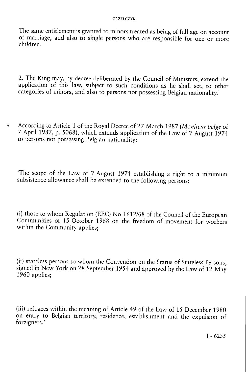The same entitlement is granted to minors treated as being of full age on account of marriage, and also to single persons who are responsible for one or more children.

2. The King may, by decree deliberated by the Council of Ministers, extend the application of this law, subject to such conditions as he shall set, to other categories of minors, and also to persons not possessing Belgian nationality.'

9 According to Article 1 of the Royal Decree of 27 March 1987 *(Moniteur belge* of 7 April 1987, p. 5068), which extends application of the Law of 7 August 1974 to persons not possessing Belgian nationality:

'The scope of the Law of 7 August 1974 establishing a right to a minimum subsistence allowance shall be extended to the following persons:

(i) those to whom Regulation (EEC) No 1612/68 of the Council of the European Communities of 15 October 1968 on the freedom of movement for workers within the Community applies;

(ii) stateless persons to whom the Convention on the Status of Stateless Persons, signed in New York on 28 September 1954 and approved by the Law of 12 May 1960 applies;

(iii) refugees within the meaning of Article 49 of the Law of 15 December 1980 on entry to Belgian territory, residence, establishment and the expulsion of foreigners.'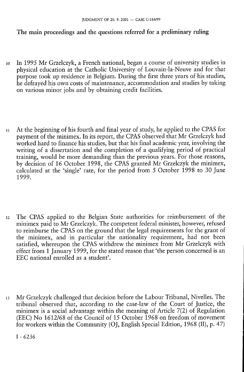### The main proceedings and the questions referred for a preliminary ruling

- 10 In 1995 Mr Grzelczyk, a French national, began a course of university studies in physical education at the Catholic University of Louvain-la-Neuve and for that purpose took up residence in Belgium. During the first three years of his studies, he defrayed his own costs of maintenance, accommodation and studies by taking on various minor jobs and by obtaining credit facilities.
- 11 At the beginning of his fourth and final year of study, he applied to the CPAS for payment of the minimex. In its report, the CPAS observed that Mr Grzelczyk had worked hard to finance his studies, but that his final academic year, involving the writing of a dissertation and the completion of a qualifying period of practical training, would be more demanding than the previous years. For those reasons, by decision of 16 October 1998, the CPAS granted Mr Grzelczyk the minimex, calculated at the 'single' rate, for the period from 5 October 1998 to 30 June 1999.
- 12 The CPAS applied to the Belgian State authorities for reimbursement of the minimex paid to Mr Grzelczyk. The competent federal minister, however, refused to reimburse the CPAS on the ground that the legal requirements for the grant of the minimex, and in particular the nationality requirement, had not been satisfied, whereupon the CPAS withdrew the minimex from Mr Grzelczyk with effect from 1 January 1999, for the stated reason that 'the person concerned is an EEC national enrolled as a student'.
- 1 3 Mr Grzelczyk challenged that decision before the Labour Tribunal, Nivelles. The tribunal observed that, according to the case-law of the Court of Justice, the minimex is a social advantage within the meaning of Article 7(2) of Regulation (EEC) No 1612/68 of the Council of 15 October 1968 on freedom of movement for workers within the Community (OJ, English Special Edition, 1968 (II), p. 47)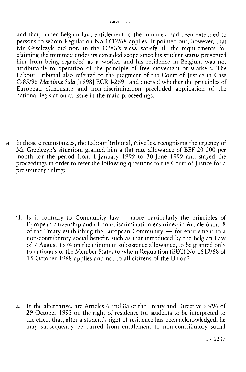and that, under Belgian law, entitlement to the minimex had been extended to persons to whom Regulation No 1612/68 applies. It pointed out, however, that Mr Grzelczyk did not, in the CPAS's view, satisfy all the requirements for claiming the minimex under its extended scope since his student status prevented him from being regarded as a worker and his residence in Belgium was not attributable to operation of the principle of free movement of workers. The Labour Tribunal also referred to the judgment of the Court of Justice in Case C-85/96 *Martinez Sala* [1998] ECR 1-2691 and queried whether the principles of European citizenship and non-discrimination precluded application of the national legislation at issue in the main proceedings.

 $14$  In those circumstances, the Labour Tribunal, Nivelles, recognising the urgency of Mr Grzelczyk's situation, granted him a flat-rate allowance of BEF 20 000 per month for the period from 1 January 1999 to 30 June 1999 and stayed the proceedings in order to refer the following questions to the Court of Justice for a preliminary ruling:

'1. Is it contrary to Community law  $-$  more particularly the principles of European citizenship and of non-discrimination enshrined in Article 6 and 8 of the Treaty establishing the European Community — for entitlement to a non-contributory social benefit, such as that introduced by the Belgian Law of 7 August 1974 on the minimum subsistence allowance, to be granted only to nationals of the Member States to whom Regulation (EEC) No 1612/68 of 15 October 1968 applies and not to all citizens of the Union?

2. In the alternative, are Articles 6 and 8a of the Treaty and Directive 93/96 of 29 October 1993 on the right of residence for students to be interpreted to the effect that, after a student's right of residence has been acknowledged, he may subsequently be barred from entitlement to non-contributory social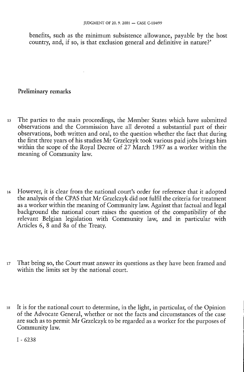benefits, such as the minimum subsistence allowance, payable by the host country, and, if so, is that exclusion general and definitive in nature?'

### Preliminary remarks

- 15 The parties to the main proceedings, the Member States which have submitted observations and the Commission have all devoted a substantial part of their observations, both written and oral, to the question whether the fact that during the first three years of his studies Mr Grzelczyk took various paid jobs brings him within the scope of the Royal Decree of 27 March 1987 as a worker within the meaning of Community law.
- 16 However, it is clear from the national court's order for reference that it adopted the analysis of the CPAS that Mr Grzelczyk did not fulfil the criteria for treatment as a worker within the meaning of Community law. Against that factual and legal background the national court raises the question of the compatibility of the relevant Belgian legislation with Community law, and in particular with Articles 6, 8 and 8a of the Treaty.
- 17 That being so, the Court must answer its questions as they have been framed and within the limits set by the national court.
- 18 It is for the national court to determine, in the light, in particular, of the Opinion of the Advocate General, whether or not the facts and circumstances of the case are such as to permit Mr Grzelczyk to be regarded as a worker for the purposes of Community law.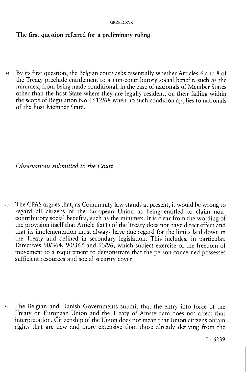# The first question referred for a preliminary ruling

19 By its first question, the Belgian court asks essentially whether Articles 6 and 8 of the Treaty preclude entitlement to a non-contributory social benefit, such as the minimex, from being made conditional, in the case of nationals of Member States other than the host State where they are legally resident, on their falling within the scope of Regulation No 1612/68 when no such condition applies to nationals of the host Member State.

*Observations submitted to the Court* 

20 The CPAS argues that, as Community law stands at present, it would be wrong to regard all citizens of the European Union as being entitled to claim noncontributory social benefits, such as the minimex. It is clear from the wording of the provision itself that Article 8a(1) of the Treaty does not have direct effect and that its implementation must always have due regard for the limits laid down in the Treaty and defined in secondary legislation. This includes, in particular, Directives 90/364, 90/365 and 93/96, which subject exercise of the freedom of movement to a requirement to demonstrate that the person concerned possesses sufficient resources and social security cover.

21 The Belgian and Danish Governments submit that the entry into force of the Treaty on European Union and the Treaty of Amsterdam does not affect that interpretation. Citizenship of the Union does not mean that Union citizens obtain rights that are new and more extensive than those already deriving from the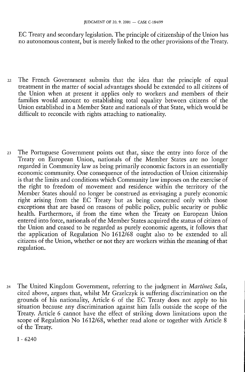EC Treaty and secondary legislation. The principle of citizenship of the Union has no autonomous content, but is merely linked to the other provisions of the Treaty.

- 22 The French Government submits that the idea that the principle of equal treatment in the matter of social advantages should be extended to all citizens of the Union when at present it applies only to workers and members of their families would amount to establishing total equality between citizens of the Union established in a Member State and nationals of that State, which would be difficult to reconcile with rights attaching to nationality.
- 23 The Portuguese Government points out that, since the entry into force of the Treaty on European Union, nationals of the Member States are no longer regarded in Community law as being primarily economic factors in an essentially economic community. One consequence of the introduction of Union citizenship is that the limits and conditions which Community law imposes on the exercise of the right to freedom of movement and residence within the territory of the Member States should no longer be construed as envisaging a purely economic right arising from the EC Treaty but as being concerned only with those exceptions that are based on reasons of public policy, public security or public health. Furthermore, if from the time when the Treaty on European Union entered into force, nationals of the Member States acquired the status of citizen of the Union and ceased to be regarded as purely economic agents, it follows that the application of Regulation No  $1612/68$  ought also to be extended to all citizens of the Union, whether or not they are workers within the meaning of that regulation.
- 24 The United Kingdom Government, referring to the judgment in *Martinez Sala,*  cited above, argues that, whilst Mr Grzelczyk is suffering discrimination on the grounds of his nationality, Article 6 of the EC Treaty does not apply to his situation because any discrimination against him falls outside the scope of the Treaty. Article 6 cannot have the effect of striking down limitations upon the scope of Regulation No 1612/68, whether read alone or together with Article 8 of the Treaty.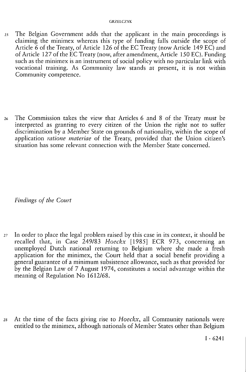- 25 The Belgian Government adds that the applicant in the main proceedings is claiming the minimex whereas this type of funding falls outside the scope of Article 6 of the Treaty, of Article 126 of the EC Treaty (now Article 149 EC) and of Article 127 of the EC Treaty (now, after amendment, Article 150 EC). Funding such as the minimex is an instrument of social policy with no particular link with vocational training. As Community law stands at present, it is not within Community competence.
- 26 The Commission takes the view that Articles 6 and 8 of the Treaty must be interpreted as granting to every citizen of the Union the right not to suffer discrimination by a Member State on grounds of nationality, within the scope of application *ratione materiae* of the Treaty, provided that the Union citizen's situation has some relevant connection with the Member State concerned.

*Findings of the Court* 

- 27 In order to place the legal problem raised by this case in its context, it should be recalled that, in Case 249/83 *Hoeckx* [1985] ECR 973, concerning an unemployed Dutch national returning to Belgium where she made a fresh application for the minimex, the Court held that a social benefit providing a general guarantee of a minimum subsistence allowance, such as that provided for by the Belgian Law of 7 August 1974, constitutes a social advantage within the meaning of Regulation No 1612/68.
- 28 At the time of the facts giving rise to *Hoeckx,* all Community nationals were entitled to the minimex, although nationals of Member States other than Belgium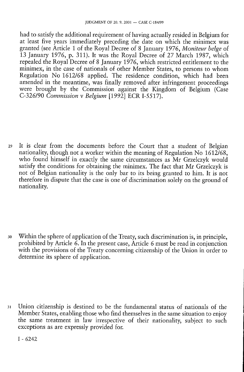had to satisfy the additional requirement of having actually resided in Belgium for at least five years immediately preceding the date on which the minimex was granted (see Article 1 of the Royal Decree of 8 January 1976, *Moniteur belge* of 13 January 1976, p. 311). It was the Royal Decree of 27 March 1987, which repealed the Royal Decree of 8 January 1976, which restricted entitlement to the minimex, in the case of nationals of other Member States, to persons to whom Regulation No 1612/68 applied. The residence condition, which had been amended in the meantime, was finally removed after infringement proceedings were brought by the Commission against the Kingdom of Belgium (Case C-326/90 *Commission* v *Belgium* [1992] ECR I-5517).

29 It is clear from the documents before the Court that a student of Belgian nationality, though not a worker within the meaning of Regulation No 1612/68, who found himself in exactly the same circumstances as Mr Grzelczyk would satisfy the conditions for obtaining the minimex. The fact that Mr Grzelczyk is not of Belgian nationality is the only bar to its being granted to him. It is not therefore in dispute that the case is one of discrimination solely on the ground of nationality.

30 Within the sphere of application of the Treaty, such discrimination is, in principle, prohibited by Article 6. In the present case, Article 6 must be read in conjunction with the provisions of the Treaty concerning citizenship of the Union in order to determine its sphere of application.

31 Union citizenship is destined to be the fundamental status of nationals of the Member States, enabling those who find themselves in the same situation to enjoy the same treatment in law irrespective of their nationality, subject to such exceptions as are expressly provided for.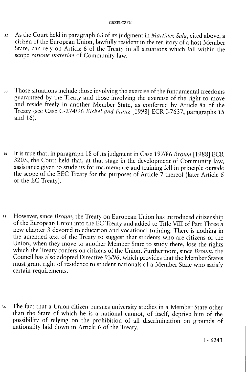- 32 As the Court held in paragraph 63 of its judgment in *Martinez Sala,* cited above , a citizen of the European Union, lawfully resident in the territory of a host Member State, can rely on Article 6 of the Treaty in all situations which fall within the scope *ratione materiae* of Community law.
- 33 Those situations include those involving the exercise of the fundamental freedoms guaranteed by the Treaty and those involving the exercise of the right to move and reside freely in another Member State, as conferred by Article 8a of the Treaty (see Case C-274/96 *Wickel and Franz* [1998] ECR 1-7637, paragraphs 15 and 16).
- 34 It is true that, in paragraph 18 of its judgment in Case 197/86 *Brown* [1988] ECR 3205 , the Court held that, at that stage in the development of Community law, assistance given to students for maintenance and training fell in principle outside the scope of the EEC Treaty for the purposes of Article  $\breve{7}$  thereof (later Article 6 of the EC Treaty).
- 35 However, since *Brown,* the Treaty on European Union has introduced citizenship of the European Union into the EC Treaty and added to Title VIII of Part Three a new chapter 3 devoted to education and vocational training. There is nothing in the amended text of the Treaty to suggest that students who are citizens of the Union, when they move to another Member State to study there, lose the rights which the Treaty confers on citizens of the Union. Furthermore, since Brown, the Council has also adopted Directive 93/96, which provides that the Member States must grant right of residence to student nationals of a Member State who satisfy certain requirements.
- 36 The fact that a Union citizen pursues university studies in a Member State other than the State of which he is a national cannot, of itself, deprive him of the possibility of relying on the prohibition of all discrimination on grounds of nationality laid down in Article 6 of the Treaty.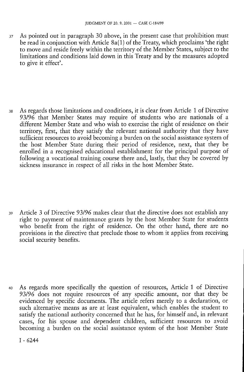37 As pointed out in paragraph 30 above, in the present case that prohibition must be read in conjunction with Article 8a(1) of the Treaty, which proclaims 'the right to move and reside freely within the territory of the Member States, subject to the limitations and conditions laid down in this Treaty and by the measures adopted to give it effect'.

38 As regards those limitations and conditions, it is clear from Article 1 of Directive 93/96 that Member States may require of students who are nationals of a different Member State and who wish to exercise the right of residence on their territory, first, that they satisfy the relevant national authority that they have sufficient resources to avoid becoming a burden on the social assistance system of the host Member State during their period of residence, next, that they be enrolled in a recognised educational establishment for the principal purpose of following a vocational training course there and, lastly, that they be covered by sickness insurance in respect of all risks in the host Member State.

39 Article 3 of Directive 93/96 makes clear that the directive does not establish any right to payment of maintenance grants by the host Member State for students who benefit from the right of residence. On the other hand, there are no provisions in the directive that preclude those to whom it applies from receiving social security benefits.

40 As regards more specifically the question of resources, Article 1 of Directive 93/96 does not require resources of any specific amount, nor that they be evidenced by specific documents. The article refers merely to a declaration, or such alternative means as are at least equivalent, which enables the student to satisfy the national authority concerned that he has, for himself and, in relevant cases, for his spouse and dependent children, sufficient resources to avoid becoming a burden on the social assistance system of the host Member State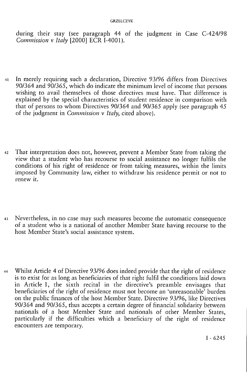during their stay (see paragraph 44 of the judgment in Case C-424/98 *Commission* v *Italy* [2000] ECR I-4001).

- 41 In merely requiring such a declaration, Directive 93/96 differs from Directives 90/364 and 90/365, which do indicate the minimum level of income that persons wishing to avail themselves of those directives must have. That difference is explained by the special characteristics of student residence in comparison with that of persons to whom Directives 90/364 and 90/365 apply (see paragraph 45 of the judgment in *Commission* v *Italy,* cited above).
- 42 That interpretation does not, however, prevent a Member State from taking the view that a student who has recourse to social assistance no longer fulfils the conditions of his right of residence or from taking measures, within the limits imposed by Community law, either to withdraw his residence permit or not to renew it.
- 43 Nevertheless, in no case may such measures become the automatic consequence of a student who is a national of another Member State having recourse to the host Member State's social assistance system.
- 44 Whilst Article 4 of Directive 93/96 does indeed provide that the right of residence is to exist for as long as beneficiaries of that right fulfil the conditions laid down in Article 1, the sixth recital in the directive's preamble envisages that beneficiaries of the right of residence must not become an 'unreasonable' burden on the public finances of the host Member State. Directive 93/96, like Directives 90/364 and 90/365, thus accepts a certain degree of financial solidarity between nationals of a host Member State and nationals of other Member States, particularly if the difficulties which a beneficiary of the right of residence encounters are temporary.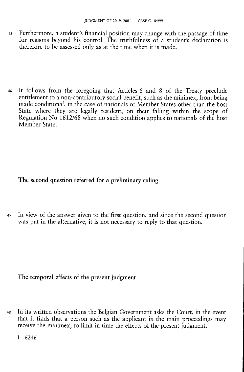- 45 Furthermore, a student's financial position may change with the passage of time for reasons beyond his control. The truthfulness of a student's declaration is therefore to be assessed only as at the time when it is made.
- 46 It follows from the foregoing that Articles 6 and 8 of the Treaty preclude entitlement to a non-contributory social benefit, such as the minimex, from being made conditional, in the case of nationals of Member States other than the host State where they are legally resident, on their falling within the scope of Regulation No 1612/68 when no such condition applies to nationals of the host Member State.

# **The second question referred for a preliminary ruling**

47 In view of the answer given to the first question, and since the second question was put in the alternative, it is not necessary to reply to that question.

### **The temporal** effects **of the** present **judgment**

48 In its written observations the Belgian Government asks the Court, in the event that it finds that a person such as the applicant in the main proceedings may receive the minimex, to limit in time the effects of the present judgment.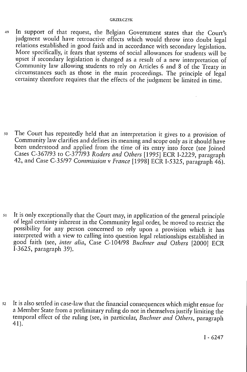49 In support of that request, the Belgian Government states that the Court's judgment would have retroactive effects which would throw into doubt legal relations established in good faith and in accordance with secondary legislation. More specifically, it fears that systems of social allowances for students will be upset if secondary legislation is changed as a result of a new interpretation of Community law allowing students to rely on Articles 6 and 8 of the Treaty in circumstances such as those in the main proceedings. The principle of legal certainty therefore requires that the effects of the judgment be limited in time.

50 The Court has repeatedly held that an interpretation it gives to a provision of Community law clarifies and defines its meaning and scope only as it should have been understood and applied from the time of its entry into force (see Joined Cases C-367/93 to C-377/93 *Roders and Others* [1995] ECR I-2229, paragraph 42, and Case C-35/97 *Commission* v *France* [1998] ECR I-5325, paragraph 46).

51 It is only exceptionally that the Court may, in application of the general principle of legal certainty inherent in the Community legal order, be moved to restrict the possibility for any person concerned to rely upon a provision which it has interpreted with a view to calling into question legal relationships established in good faith (see, *inter alia,* Case C-104/98 *Buchner and Others* [2000] ECR I-3625, paragraph 39).

52 It is also settled in case-law that the financial consequences which might ensue for a Member State from a preliminary ruling do not in themselves justify limiting the temporal effect of the ruling (see, in particular, *Buchner and Others,* paragraph 41).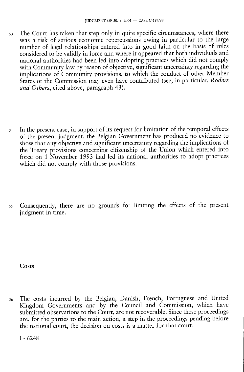- 53 The Court has taken that step only in quite specific circumstances, where there was a risk of serious economic repercussions owing in particular to the large number of legal relationships entered into in good faith on the basis of rules considered to be validly in force and where it appeared that both individuals and national authorities had been led into adopting practices which did not comply with Community law by reason of objective, significant uncertainty regarding the implications of Community provisions, to which the conduct of other Member States or the Commission may even have contributed (see, in particular, *Roders and Others,* cited above, paragraph 43).
- 54 In the present case, in support of its request for limitation of the temporal effects of the present judgment, the Belgian Government has produced no evidence to show that any objective and significant uncertainty regarding the implications of the Treaty provisions concerning citizenship of the Union which entered into force on 1 November 1993 had led its national authorities to adopt practices which did not comply with those provisions.
- 55 Consequently, there are no grounds for limiting the effects of the present judgment in time.

**Costs** 

56 The costs incurred by the Belgian, Danish, French, Portuguese and United Kingdom Governments and by the Council and Commission, which have submitted observations to the Court, are not recoverable. Since these proceedings are, for the parties to the main action, a step in the proceedings pending before the national court, the decision on costs is a matter for that court.